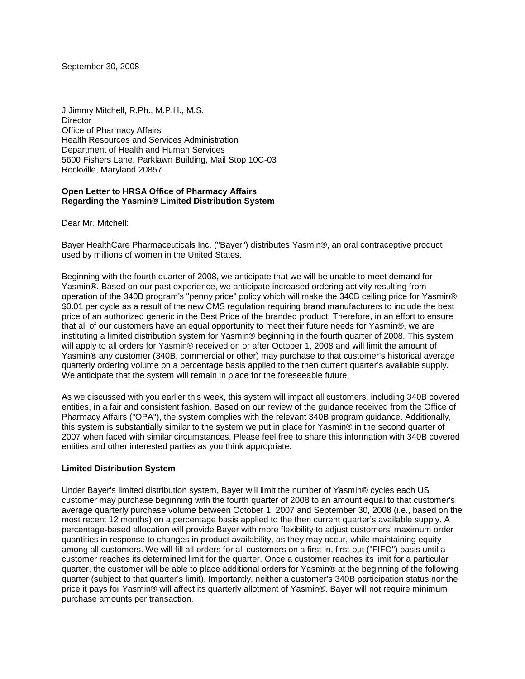September 30, 2008

J Jimmy Mitchell, R.Ph., M.P.H., M.S. **Director** Office of Pharmacy Affairs Health Resources and Services Administration Department of Health and Human Services 5600 Fishers Lane, Parklawn Building, Mail Stop 10C-03 Rockville, Maryland 20857

## **Open Letter to HRSA Office of Pharmacy Affairs Regarding the Yasmin® Limited Distribution System**

Dear Mr. Mitchell:

Bayer HealthCare Pharmaceuticals Inc. ("Bayer") distributes Yasmin®, an oral contraceptive product used by millions of women in the United States.

Beginning with the fourth quarter of 2008, we anticipate that we will be unable to meet demand for Yasmin®. Based on our past experience, we anticipate increased ordering activity resulting from operation of the 340B program's "penny price" policy which will make the 340B ceiling price for Yasmin® \$0.01 per cycle as a result of the new CMS regulation requiring brand manufacturers to include the best price of an authorized generic in the Best Price of the branded product. Therefore, in an effort to ensure that all of our customers have an equal opportunity to meet their future needs for Yasmin®, we are instituting a limited distribution system for Yasmin® beginning in the fourth quarter of 2008. This system will apply to all orders for Yasmin® received on or after October 1, 2008 and will limit the amount of Yasmin® any customer (340B, commercial or other) may purchase to that customer's historical average quarterly ordering volume on a percentage basis applied to the then current quarter's available supply. We anticipate that the system will remain in place for the foreseeable future.

As we discussed with you earlier this week, this system will impact all customers, including 340B covered entities, in a fair and consistent fashion. Based on our review of the guidance received from the Office of Pharmacy Affairs ("OPA"), the system complies with the relevant 340B program guidance. Additionally, this system is substantially similar to the system we put in place for Yasmin® in the second quarter of 2007 when faced with similar circumstances. Please feel free to share this information with 340B covered entities and other interested parties as you think appropriate.

## **Limited Distribution System**

Under Bayer's limited distribution system, Bayer will limit the number of Yasmin® cycles each US customer may purchase beginning with the fourth quarter of 2008 to an amount equal to that customer's average quarterly purchase volume between October 1, 2007 and September 30, 2008 (i.e., based on the most recent 12 months) on a percentage basis applied to the then current quarter's available supply. A percentage-based allocation will provide Bayer with more flexibility to adjust customers' maximum order quantities in response to changes in product availability, as they may occur, while maintaining equity among all customers. We will fill all orders for all customers on a first-in, first-out ("FIFO") basis until a customer reaches its determined limit for the quarter. Once a customer reaches its limit for a particular quarter, the customer will be able to place additional orders for Yasmin® at the beginning of the following quarter (subject to that quarter's limit). Importantly, neither a customer's 340B participation status nor the price it pays for Yasmin® will affect its quarterly allotment of Yasmin®. Bayer will not require minimum purchase amounts per transaction.